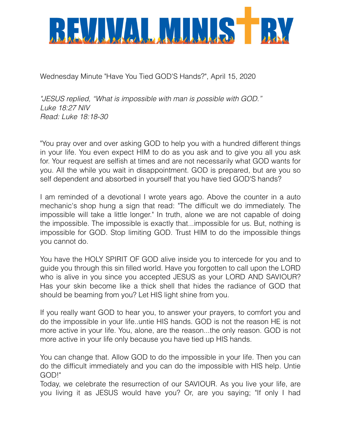

Wednesday Minute "Have You Tied GOD'S Hands?", April 15, 2020

*"JESUS replied, "What is impossible with man is possible with GOD." Luke 18:27 NIV Read: Luke 18:18-30*

"You pray over and over asking GOD to help you with a hundred different things in your life. You even expect HIM to do as you ask and to give you all you ask for. Your request are selfish at times and are not necessarily what GOD wants for you. All the while you wait in disappointment. GOD is prepared, but are you so self dependent and absorbed in yourself that you have tied GOD'S hands?

I am reminded of a devotional I wrote years ago. Above the counter in a auto mechanic's shop hung a sign that read: "The difficult we do immediately. The impossible will take a little longer." In truth, alone we are not capable of doing the impossible. The impossible is exactly that...impossible for us. But, nothing is impossible for GOD. Stop limiting GOD. Trust HIM to do the impossible things you cannot do.

You have the HOLY SPIRIT OF GOD alive inside you to intercede for you and to guide you through this sin filled world. Have you forgotten to call upon the LORD who is alive in you since you accepted JESUS as your LORD AND SAVIOUR? Has your skin become like a thick shell that hides the radiance of GOD that should be beaming from you? Let HIS light shine from you.

If you really want GOD to hear you, to answer your prayers, to comfort you and do the impossible in your life..untie HIS hands. GOD is not the reason HE is not more active in your life. You, alone, are the reason...the only reason. GOD is not more active in your life only because you have tied up HIS hands.

You can change that. Allow GOD to do the impossible in your life. Then you can do the difficult immediately and you can do the impossible with HIS help. Untie GOD!"

Today, we celebrate the resurrection of our SAVIOUR. As you live your life, are you living it as JESUS would have you? Or, are you saying; "If only I had